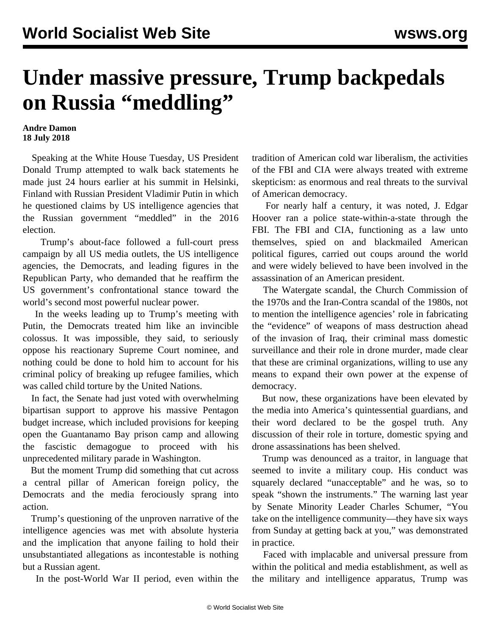## **Under massive pressure, Trump backpedals on Russia "meddling"**

## **Andre Damon 18 July 2018**

 Speaking at the White House Tuesday, US President Donald Trump attempted to walk back statements he made just 24 hours earlier at his summit in Helsinki, Finland with Russian President Vladimir Putin in which he questioned claims by US intelligence agencies that the Russian government "meddled" in the 2016 election.

 Trump's about-face followed a full-court press campaign by all US media outlets, the US intelligence agencies, the Democrats, and leading figures in the Republican Party, who demanded that he reaffirm the US government's confrontational stance toward the world's second most powerful nuclear power.

 In the weeks leading up to Trump's meeting with Putin, the Democrats treated him like an invincible colossus. It was impossible, they said, to seriously oppose his reactionary Supreme Court nominee, and nothing could be done to hold him to account for his criminal policy of breaking up refugee families, which was called child torture by the United Nations.

 In fact, the Senate had just voted with overwhelming bipartisan support to approve his massive Pentagon budget increase, which included provisions for keeping open the Guantanamo Bay prison camp and allowing the fascistic demagogue to proceed with his unprecedented military parade in Washington.

 But the moment Trump did something that cut across a central pillar of American foreign policy, the Democrats and the media ferociously sprang into action.

 Trump's questioning of the unproven narrative of the intelligence agencies was met with absolute hysteria and the implication that anyone failing to hold their unsubstantiated allegations as incontestable is nothing but a Russian agent.

In the post-World War II period, even within the

tradition of American cold war liberalism, the activities of the FBI and CIA were always treated with extreme skepticism: as enormous and real threats to the survival of American democracy.

 For nearly half a century, it was noted, J. Edgar Hoover ran a police state-within-a-state through the FBI. The FBI and CIA, functioning as a law unto themselves, spied on and blackmailed American political figures, carried out coups around the world and were widely believed to have been involved in the assassination of an American president.

 The Watergate scandal, the Church Commission of the 1970s and the Iran-Contra scandal of the 1980s, not to mention the intelligence agencies' role in fabricating the "evidence" of weapons of mass destruction ahead of the invasion of Iraq, their criminal mass domestic surveillance and their role in drone murder, made clear that these are criminal organizations, willing to use any means to expand their own power at the expense of democracy.

 But now, these organizations have been elevated by the media into America's quintessential guardians, and their word declared to be the gospel truth. Any discussion of their role in torture, domestic spying and drone assassinations has been shelved.

 Trump was denounced as a traitor, in language that seemed to invite a military coup. His conduct was squarely declared "unacceptable" and he was, so to speak "shown the instruments." The warning last year by Senate Minority Leader Charles Schumer, "You take on the intelligence community—they have six ways from Sunday at getting back at you," was demonstrated in practice.

 Faced with implacable and universal pressure from within the political and media establishment, as well as the military and intelligence apparatus, Trump was